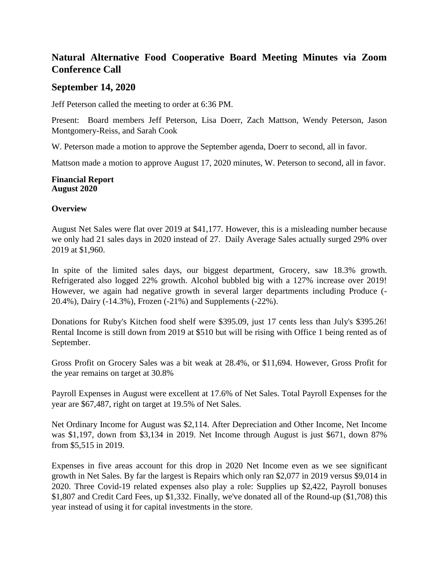# **Natural Alternative Food Cooperative Board Meeting Minutes via Zoom Conference Call**

## **September 14, 2020**

Jeff Peterson called the meeting to order at 6:36 PM.

Present: Board members Jeff Peterson, Lisa Doerr, Zach Mattson, Wendy Peterson, Jason Montgomery-Reiss, and Sarah Cook

W. Peterson made a motion to approve the September agenda, Doerr to second, all in favor.

Mattson made a motion to approve August 17, 2020 minutes, W. Peterson to second, all in favor.

#### **Financial Report August 2020**

### **Overview**

August Net Sales were flat over 2019 at \$41,177. However, this is a misleading number because we only had 21 sales days in 2020 instead of 27. Daily Average Sales actually surged 29% over 2019 at \$1,960.

In spite of the limited sales days, our biggest department, Grocery, saw 18.3% growth. Refrigerated also logged 22% growth. Alcohol bubbled big with a 127% increase over 2019! However, we again had negative growth in several larger departments including Produce (- 20.4%), Dairy (-14.3%), Frozen (-21%) and Supplements (-22%).

Donations for Ruby's Kitchen food shelf were \$395.09, just 17 cents less than July's \$395.26! Rental Income is still down from 2019 at \$510 but will be rising with Office 1 being rented as of September.

Gross Profit on Grocery Sales was a bit weak at 28.4%, or \$11,694. However, Gross Profit for the year remains on target at 30.8%

Payroll Expenses in August were excellent at 17.6% of Net Sales. Total Payroll Expenses for the year are \$67,487, right on target at 19.5% of Net Sales.

Net Ordinary Income for August was \$2,114. After Depreciation and Other Income, Net Income was \$1,197, down from \$3,134 in 2019. Net Income through August is just \$671, down 87% from \$5,515 in 2019.

Expenses in five areas account for this drop in 2020 Net Income even as we see significant growth in Net Sales. By far the largest is Repairs which only ran \$2,077 in 2019 versus \$9,014 in 2020. Three Covid-19 related expenses also play a role: Supplies up \$2,422, Payroll bonuses \$1,807 and Credit Card Fees, up \$1,332. Finally, we've donated all of the Round-up (\$1,708) this year instead of using it for capital investments in the store.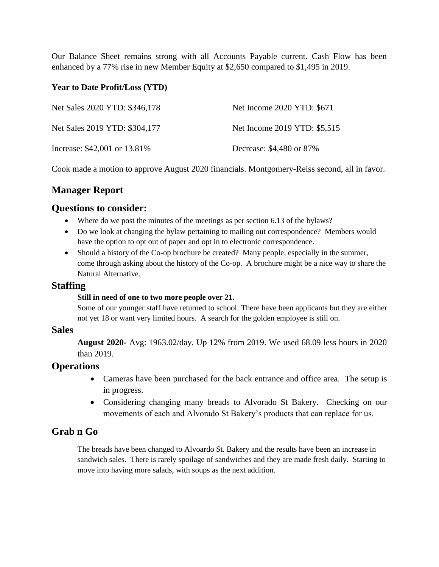Our Balance Sheet remains strong with all Accounts Payable current. Cash Flow has been enhanced by a 77% rise in new Member Equity at \$2,650 compared to \$1,495 in 2019.

### **Year to Date Profit/Loss (YTD)**

| Net Sales 2020 YTD: \$346,178 | Net Income 2020 YTD: \$671   |
|-------------------------------|------------------------------|
| Net Sales 2019 YTD: \$304,177 | Net Income 2019 YTD: \$5,515 |
| Increase: \$42,001 or 13.81%  | Decrease: \$4,480 or 87%     |

Cook made a motion to approve August 2020 financials. Montgomery-Reiss second, all in favor.

# **Manager Report**

## **Questions to consider:**

- Where do we post the minutes of the meetings as per section 6.13 of the bylaws?
- Do we look at changing the bylaw pertaining to mailing out correspondence? Members would have the option to opt out of paper and opt in to electronic correspondence.
- Should a history of the Co-op brochure be created? Many people, especially in the summer, come through asking about the history of the Co-op. A brochure might be a nice way to share the Natural Alternative.

### **Staffing**

#### **Still in need of one to two more people over 21.**

Some of our younger staff have returned to school. There have been applicants but they are either not yet 18 or want very limited hours. A search for the golden employee is still on.

### **Sales**

**August 2020-** Avg: 1963.02/day. Up 12% from 2019. We used 68.09 less hours in 2020 than 2019.

### **Operations**

- Cameras have been purchased for the back entrance and office area. The setup is in progress.
- Considering changing many breads to Alvorado St Bakery. Checking on our movements of each and Alvorado St Bakery's products that can replace for us.

# **Grab n Go**

The breads have been changed to Alvoardo St. Bakery and the results have been an increase in sandwich sales. There is rarely spoilage of sandwiches and they are made fresh daily. Starting to move into having more salads, with soups as the next addition.